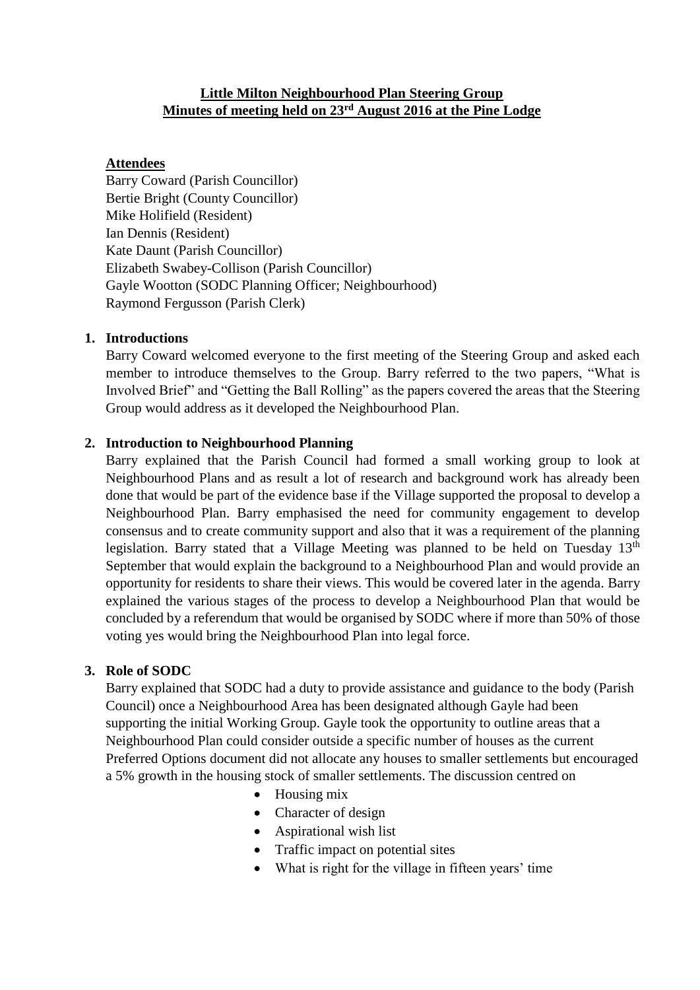#### **Little Milton Neighbourhood Plan Steering Group Minutes of meeting held on 23rd August 2016 at the Pine Lodge**

#### **Attendees**

Barry Coward (Parish Councillor) Bertie Bright (County Councillor) Mike Holifield (Resident) Ian Dennis (Resident) Kate Daunt (Parish Councillor) Elizabeth Swabey-Collison (Parish Councillor) Gayle Wootton (SODC Planning Officer; Neighbourhood) Raymond Fergusson (Parish Clerk)

#### **1. Introductions**

Barry Coward welcomed everyone to the first meeting of the Steering Group and asked each member to introduce themselves to the Group. Barry referred to the two papers, "What is Involved Brief" and "Getting the Ball Rolling" as the papers covered the areas that the Steering Group would address as it developed the Neighbourhood Plan.

#### **2. Introduction to Neighbourhood Planning**

Barry explained that the Parish Council had formed a small working group to look at Neighbourhood Plans and as result a lot of research and background work has already been done that would be part of the evidence base if the Village supported the proposal to develop a Neighbourhood Plan. Barry emphasised the need for community engagement to develop consensus and to create community support and also that it was a requirement of the planning legislation. Barry stated that a Village Meeting was planned to be held on Tuesday 13<sup>th</sup> September that would explain the background to a Neighbourhood Plan and would provide an opportunity for residents to share their views. This would be covered later in the agenda. Barry explained the various stages of the process to develop a Neighbourhood Plan that would be concluded by a referendum that would be organised by SODC where if more than 50% of those voting yes would bring the Neighbourhood Plan into legal force.

#### **3. Role of SODC**

Barry explained that SODC had a duty to provide assistance and guidance to the body (Parish Council) once a Neighbourhood Area has been designated although Gayle had been supporting the initial Working Group. Gayle took the opportunity to outline areas that a Neighbourhood Plan could consider outside a specific number of houses as the current Preferred Options document did not allocate any houses to smaller settlements but encouraged a 5% growth in the housing stock of smaller settlements. The discussion centred on

- Housing mix
- Character of design
- Aspirational wish list
- Traffic impact on potential sites
- What is right for the village in fifteen years' time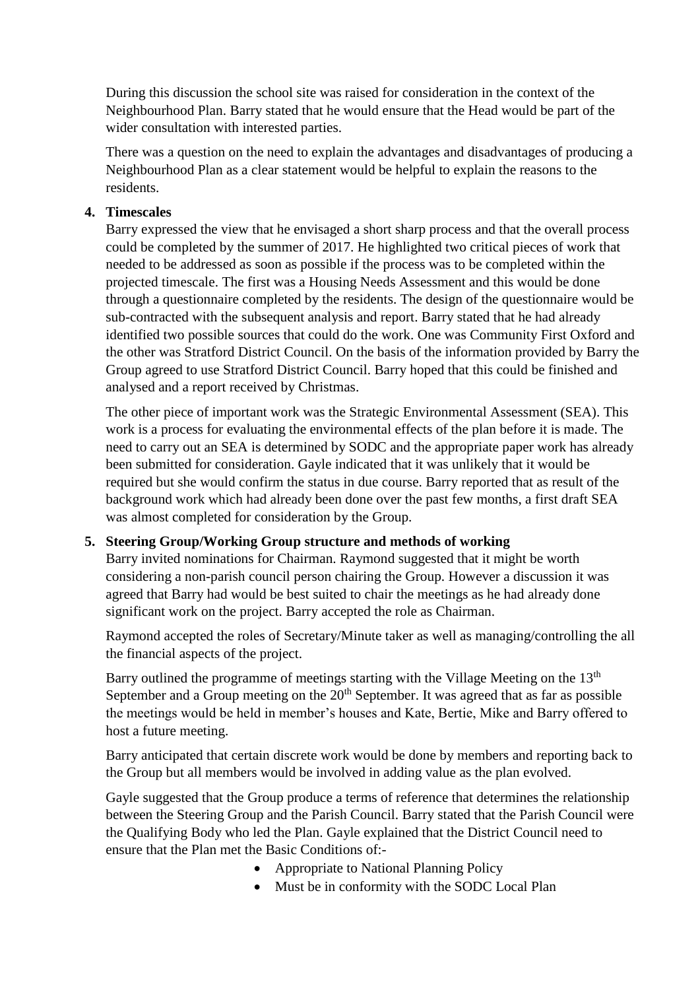During this discussion the school site was raised for consideration in the context of the Neighbourhood Plan. Barry stated that he would ensure that the Head would be part of the wider consultation with interested parties.

There was a question on the need to explain the advantages and disadvantages of producing a Neighbourhood Plan as a clear statement would be helpful to explain the reasons to the residents.

#### **4. Timescales**

Barry expressed the view that he envisaged a short sharp process and that the overall process could be completed by the summer of 2017. He highlighted two critical pieces of work that needed to be addressed as soon as possible if the process was to be completed within the projected timescale. The first was a Housing Needs Assessment and this would be done through a questionnaire completed by the residents. The design of the questionnaire would be sub-contracted with the subsequent analysis and report. Barry stated that he had already identified two possible sources that could do the work. One was Community First Oxford and the other was Stratford District Council. On the basis of the information provided by Barry the Group agreed to use Stratford District Council. Barry hoped that this could be finished and analysed and a report received by Christmas.

The other piece of important work was the Strategic Environmental Assessment (SEA). This work is a process for evaluating the environmental effects of the plan before it is made. The need to carry out an SEA is determined by SODC and the appropriate paper work has already been submitted for consideration. Gayle indicated that it was unlikely that it would be required but she would confirm the status in due course. Barry reported that as result of the background work which had already been done over the past few months, a first draft SEA was almost completed for consideration by the Group.

#### **5. Steering Group/Working Group structure and methods of working**

Barry invited nominations for Chairman. Raymond suggested that it might be worth considering a non-parish council person chairing the Group. However a discussion it was agreed that Barry had would be best suited to chair the meetings as he had already done significant work on the project. Barry accepted the role as Chairman.

Raymond accepted the roles of Secretary/Minute taker as well as managing/controlling the all the financial aspects of the project.

Barry outlined the programme of meetings starting with the Village Meeting on the 13<sup>th</sup> September and a Group meeting on the  $20<sup>th</sup>$  September. It was agreed that as far as possible the meetings would be held in member's houses and Kate, Bertie, Mike and Barry offered to host a future meeting.

Barry anticipated that certain discrete work would be done by members and reporting back to the Group but all members would be involved in adding value as the plan evolved.

Gayle suggested that the Group produce a terms of reference that determines the relationship between the Steering Group and the Parish Council. Barry stated that the Parish Council were the Qualifying Body who led the Plan. Gayle explained that the District Council need to ensure that the Plan met the Basic Conditions of:-

- Appropriate to National Planning Policy
- Must be in conformity with the SODC Local Plan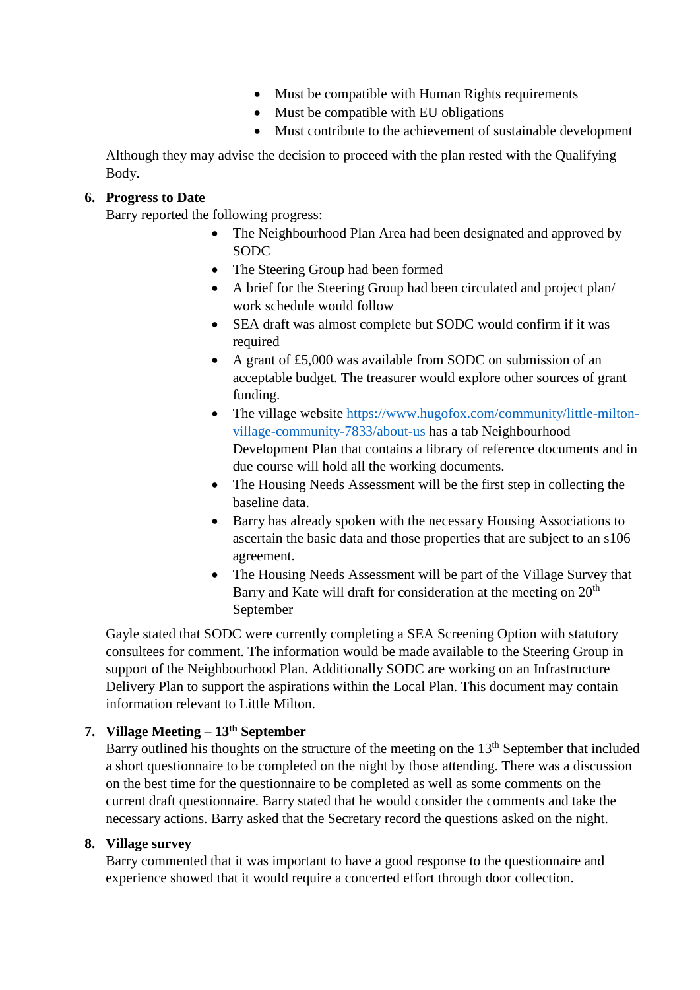- Must be compatible with Human Rights requirements
- Must be compatible with EU obligations
- Must contribute to the achievement of sustainable development

Although they may advise the decision to proceed with the plan rested with the Qualifying Body.

### **6. Progress to Date**

Barry reported the following progress:

- The Neighbourhood Plan Area had been designated and approved by SODC
- The Steering Group had been formed
- A brief for the Steering Group had been circulated and project plan/ work schedule would follow
- SEA draft was almost complete but SODC would confirm if it was required
- A grant of £5,000 was available from SODC on submission of an acceptable budget. The treasurer would explore other sources of grant funding.
- The village website [https://www.hugofox.com/community/little-milton](https://www.hugofox.com/community/little-milton-village-community-7833/about-us)[village-community-7833/about-us](https://www.hugofox.com/community/little-milton-village-community-7833/about-us) has a tab Neighbourhood Development Plan that contains a library of reference documents and in due course will hold all the working documents.
- The Housing Needs Assessment will be the first step in collecting the baseline data.
- Barry has already spoken with the necessary Housing Associations to ascertain the basic data and those properties that are subject to an s106 agreement.
- The Housing Needs Assessment will be part of the Village Survey that Barry and Kate will draft for consideration at the meeting on 20<sup>th</sup> September

Gayle stated that SODC were currently completing a SEA Screening Option with statutory consultees for comment. The information would be made available to the Steering Group in support of the Neighbourhood Plan. Additionally SODC are working on an Infrastructure Delivery Plan to support the aspirations within the Local Plan. This document may contain information relevant to Little Milton.

### **7. Village Meeting – 13th September**

Barry outlined his thoughts on the structure of the meeting on the  $13<sup>th</sup>$  September that included a short questionnaire to be completed on the night by those attending. There was a discussion on the best time for the questionnaire to be completed as well as some comments on the current draft questionnaire. Barry stated that he would consider the comments and take the necessary actions. Barry asked that the Secretary record the questions asked on the night.

### **8. Village survey**

Barry commented that it was important to have a good response to the questionnaire and experience showed that it would require a concerted effort through door collection.